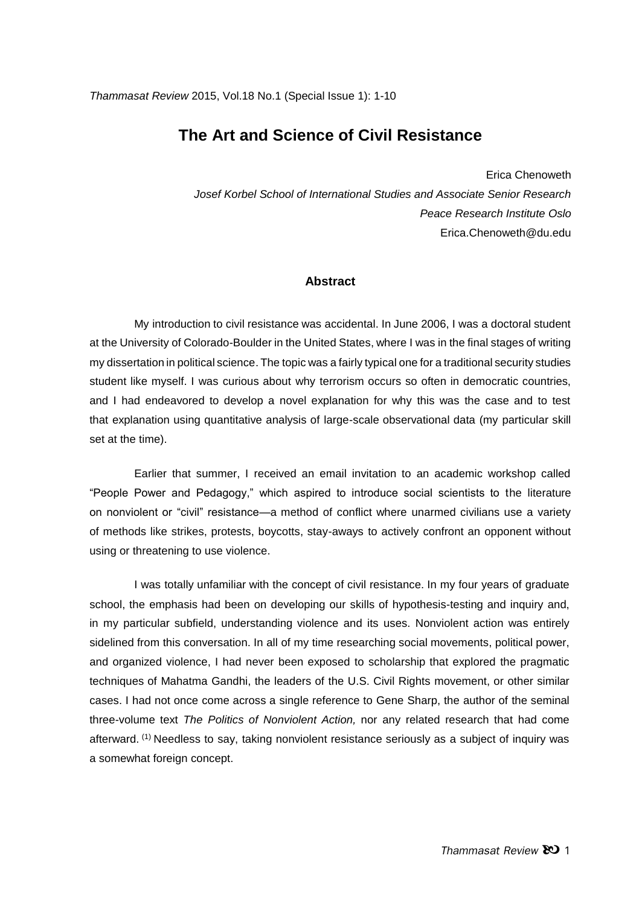# **The Art and Science of Civil Resistance**

Erica Chenoweth

*Josef Korbel School of International Studies and Associate Senior Research Peace Research Institute Oslo* Erica.Chenoweth@du.edu

### **Abstract**

My introduction to civil resistance was accidental. In June 2006, I was a doctoral student at the University of Colorado-Boulder in the United States, where I was in the final stages of writing my dissertation in political science. The topic was a fairly typical one for a traditional security studies student like myself. I was curious about why terrorism occurs so often in democratic countries, and I had endeavored to develop a novel explanation for why this was the case and to test that explanation using quantitative analysis of large-scale observational data (my particular skill set at the time).

Earlier that summer, I received an email invitation to an academic workshop called "People Power and Pedagogy," which aspired to introduce social scientists to the literature on nonviolent or "civil" resistance—a method of conflict where unarmed civilians use a variety of methods like strikes, protests, boycotts, stay-aways to actively confront an opponent without using or threatening to use violence.

I was totally unfamiliar with the concept of civil resistance. In my four years of graduate school, the emphasis had been on developing our skills of hypothesis-testing and inquiry and, in my particular subfield, understanding violence and its uses. Nonviolent action was entirely sidelined from this conversation. In all of my time researching social movements, political power, and organized violence, I had never been exposed to scholarship that explored the pragmatic techniques of Mahatma Gandhi, the leaders of the U.S. Civil Rights movement, or other similar cases. I had not once come across a single reference to Gene Sharp, the author of the seminal three-volume text *The Politics of Nonviolent Action,* nor any related research that had come afterward. (1) Needless to say, taking nonviolent resistance seriously as a subject of inquiry was a somewhat foreign concept.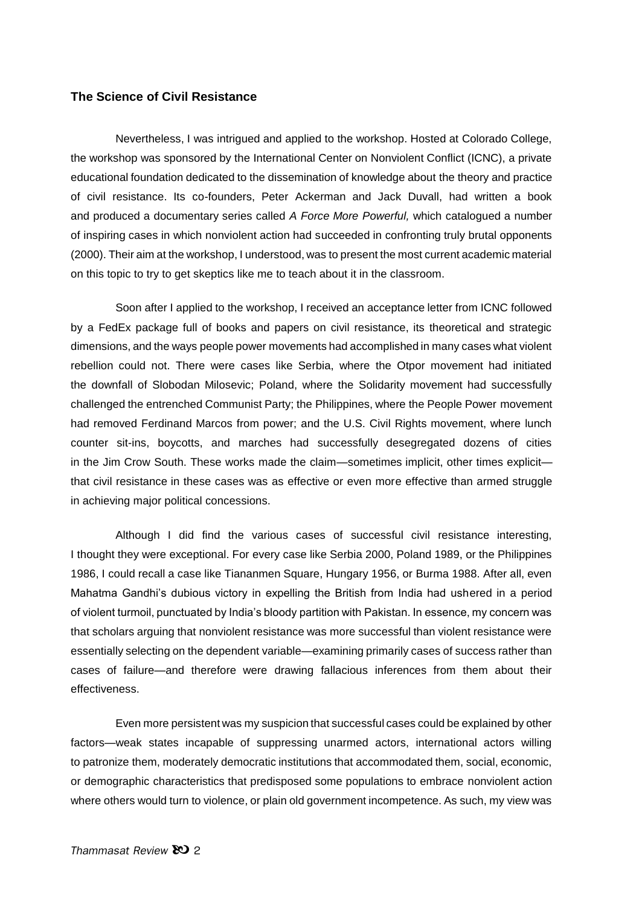### **The Science of Civil Resistance**

Nevertheless, I was intrigued and applied to the workshop. Hosted at Colorado College, the workshop was sponsored by the International Center on Nonviolent Conflict (ICNC), a private educational foundation dedicated to the dissemination of knowledge about the theory and practice of civil resistance. Its co-founders, Peter Ackerman and Jack Duvall, had written a book and produced a documentary series called *A Force More Powerful,* which catalogued a number of inspiring cases in which nonviolent action had succeeded in confronting truly brutal opponents (2000). Their aim at the workshop, I understood, was to present the most current academic material on this topic to try to get skeptics like me to teach about it in the classroom.

Soon after I applied to the workshop, I received an acceptance letter from ICNC followed by a FedEx package full of books and papers on civil resistance, its theoretical and strategic dimensions, and the ways people power movements had accomplished in many cases what violent rebellion could not. There were cases like Serbia, where the Otpor movement had initiated the downfall of Slobodan Milosevic; Poland, where the Solidarity movement had successfully challenged the entrenched Communist Party; the Philippines, where the People Power movement had removed Ferdinand Marcos from power; and the U.S. Civil Rights movement, where lunch counter sit-ins, boycotts, and marches had successfully desegregated dozens of cities in the Jim Crow South. These works made the claim—sometimes implicit, other times explicit that civil resistance in these cases was as effective or even more effective than armed struggle in achieving major political concessions.

Although I did find the various cases of successful civil resistance interesting, I thought they were exceptional. For every case like Serbia 2000, Poland 1989, or the Philippines 1986, I could recall a case like Tiananmen Square, Hungary 1956, or Burma 1988. After all, even Mahatma Gandhi's dubious victory in expelling the British from India had ushered in a period of violent turmoil, punctuated by India's bloody partition with Pakistan. In essence, my concern was that scholars arguing that nonviolent resistance was more successful than violent resistance were essentially selecting on the dependent variable—examining primarily cases of success rather than cases of failure—and therefore were drawing fallacious inferences from them about their effectiveness.

Even more persistent was my suspicion that successful cases could be explained by other factors—weak states incapable of suppressing unarmed actors, international actors willing to patronize them, moderately democratic institutions that accommodated them, social, economic, or demographic characteristics that predisposed some populations to embrace nonviolent action where others would turn to violence, or plain old government incompetence. As such, my view was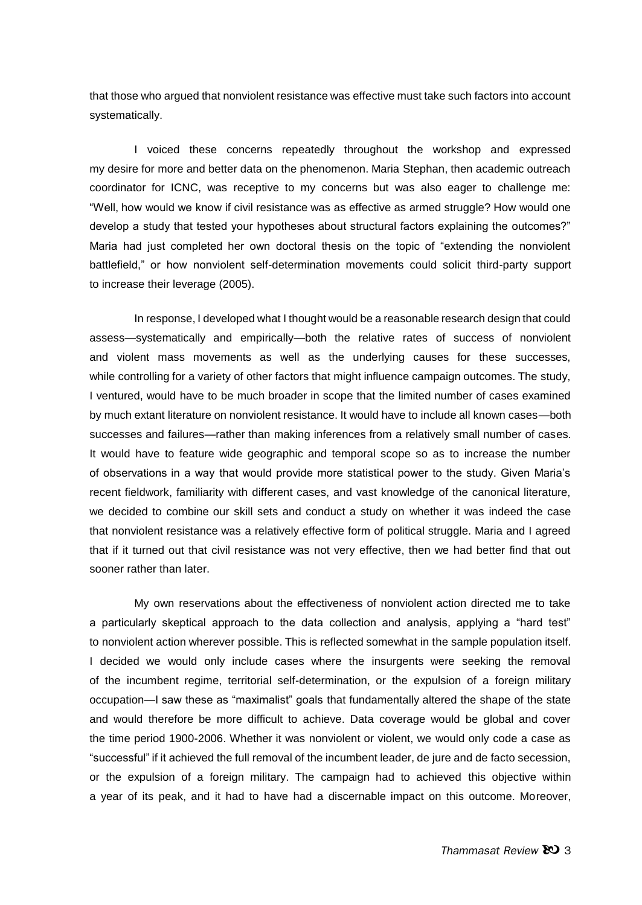that those who argued that nonviolent resistance was effective must take such factors into account systematically.

I voiced these concerns repeatedly throughout the workshop and expressed my desire for more and better data on the phenomenon. Maria Stephan, then academic outreach coordinator for ICNC, was receptive to my concerns but was also eager to challenge me: "Well, how would we know if civil resistance was as effective as armed struggle? How would one develop a study that tested your hypotheses about structural factors explaining the outcomes?" Maria had just completed her own doctoral thesis on the topic of "extending the nonviolent battlefield," or how nonviolent self-determination movements could solicit third-party support to increase their leverage (2005).

In response, I developed what I thought would be a reasonable research design that could assess—systematically and empirically—both the relative rates of success of nonviolent and violent mass movements as well as the underlying causes for these successes, while controlling for a variety of other factors that might influence campaign outcomes. The study, I ventured, would have to be much broader in scope that the limited number of cases examined by much extant literature on nonviolent resistance. It would have to include all known cases—both successes and failures—rather than making inferences from a relatively small number of cases. It would have to feature wide geographic and temporal scope so as to increase the number of observations in a way that would provide more statistical power to the study. Given Maria's recent fieldwork, familiarity with different cases, and vast knowledge of the canonical literature, we decided to combine our skill sets and conduct a study on whether it was indeed the case that nonviolent resistance was a relatively effective form of political struggle. Maria and I agreed that if it turned out that civil resistance was not very effective, then we had better find that out sooner rather than later.

My own reservations about the effectiveness of nonviolent action directed me to take a particularly skeptical approach to the data collection and analysis, applying a "hard test" to nonviolent action wherever possible. This is reflected somewhat in the sample population itself. I decided we would only include cases where the insurgents were seeking the removal of the incumbent regime, territorial self-determination, or the expulsion of a foreign military occupation—I saw these as "maximalist" goals that fundamentally altered the shape of the state and would therefore be more difficult to achieve. Data coverage would be global and cover the time period 1900-2006. Whether it was nonviolent or violent, we would only code a case as "successful" if it achieved the full removal of the incumbent leader, de jure and de facto secession, or the expulsion of a foreign military. The campaign had to achieved this objective within a year of its peak, and it had to have had a discernable impact on this outcome. Moreover,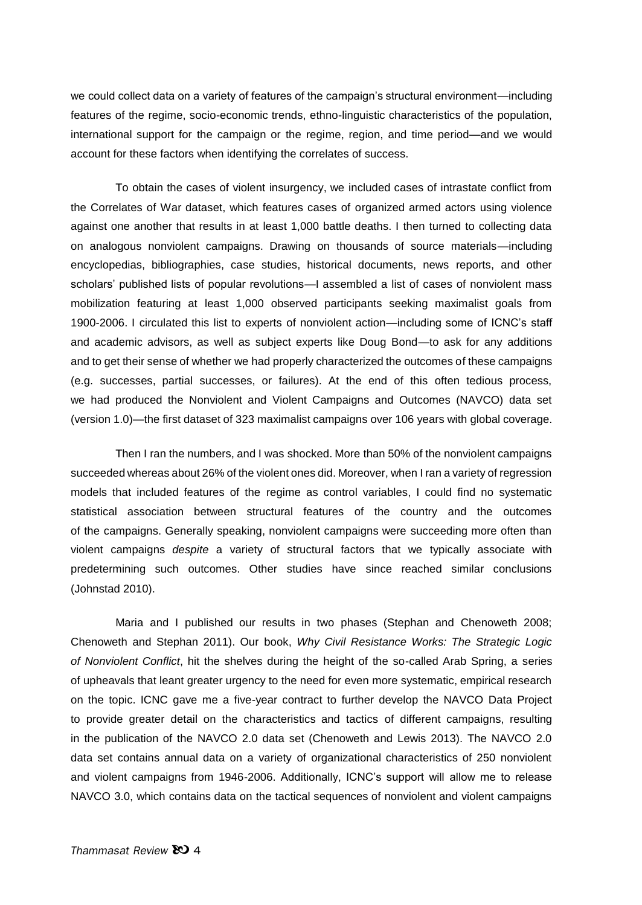we could collect data on a variety of features of the campaign's structural environment—including features of the regime, socio-economic trends, ethno-linguistic characteristics of the population, international support for the campaign or the regime, region, and time period—and we would account for these factors when identifying the correlates of success.

To obtain the cases of violent insurgency, we included cases of intrastate conflict from the Correlates of War dataset, which features cases of organized armed actors using violence against one another that results in at least 1,000 battle deaths. I then turned to collecting data on analogous nonviolent campaigns. Drawing on thousands of source materials—including encyclopedias, bibliographies, case studies, historical documents, news reports, and other scholars' published lists of popular revolutions—I assembled a list of cases of nonviolent mass mobilization featuring at least 1,000 observed participants seeking maximalist goals from 1900-2006. I circulated this list to experts of nonviolent action—including some of ICNC's staff and academic advisors, as well as subject experts like Doug Bond—to ask for any additions and to get their sense of whether we had properly characterized the outcomes of these campaigns (e.g. successes, partial successes, or failures). At the end of this often tedious process, we had produced the Nonviolent and Violent Campaigns and Outcomes (NAVCO) data set (version 1.0)—the first dataset of 323 maximalist campaigns over 106 years with global coverage.

Then I ran the numbers, and I was shocked. More than 50% of the nonviolent campaigns succeeded whereas about 26% of the violent ones did. Moreover, when I ran a variety of regression models that included features of the regime as control variables, I could find no systematic statistical association between structural features of the country and the outcomes of the campaigns. Generally speaking, nonviolent campaigns were succeeding more often than violent campaigns *despite* a variety of structural factors that we typically associate with predetermining such outcomes. Other studies have since reached similar conclusions (Johnstad 2010).

Maria and I published our results in two phases (Stephan and Chenoweth 2008; Chenoweth and Stephan 2011). Our book, *Why Civil Resistance Works: The Strategic Logic of Nonviolent Conflict*, hit the shelves during the height of the so-called Arab Spring, a series of upheavals that leant greater urgency to the need for even more systematic, empirical research on the topic. ICNC gave me a five-year contract to further develop the NAVCO Data Project to provide greater detail on the characteristics and tactics of different campaigns, resulting in the publication of the NAVCO 2.0 data set (Chenoweth and Lewis 2013). The NAVCO 2.0 data set contains annual data on a variety of organizational characteristics of 250 nonviolent and violent campaigns from 1946-2006. Additionally, ICNC's support will allow me to release NAVCO 3.0, which contains data on the tactical sequences of nonviolent and violent campaigns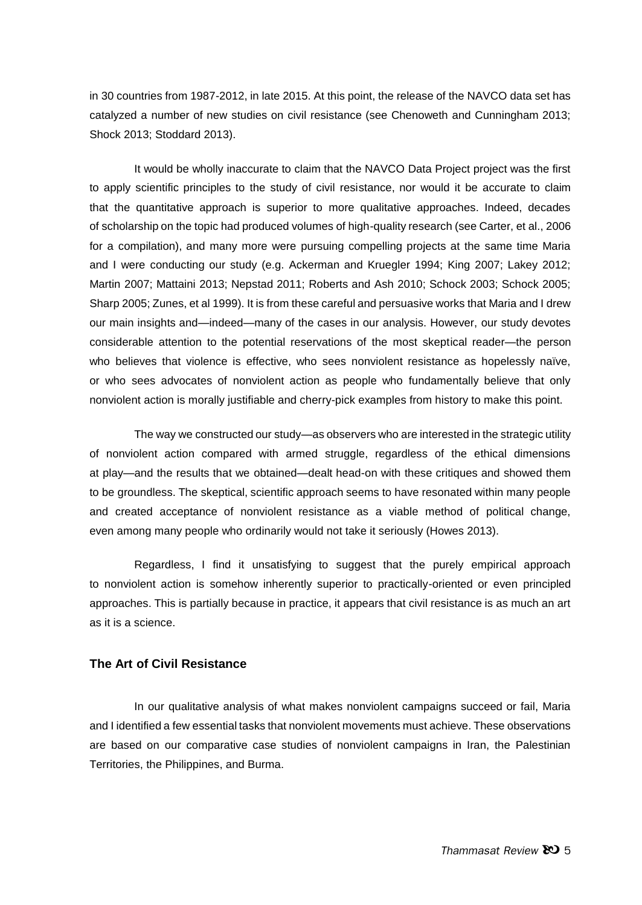in 30 countries from 1987-2012, in late 2015. At this point, the release of the NAVCO data set has catalyzed a number of new studies on civil resistance (see Chenoweth and Cunningham 2013; Shock 2013; Stoddard 2013).

It would be wholly inaccurate to claim that the NAVCO Data Project project was the first to apply scientific principles to the study of civil resistance, nor would it be accurate to claim that the quantitative approach is superior to more qualitative approaches. Indeed, decades of scholarship on the topic had produced volumes of high-quality research (see Carter, et al., 2006 for a compilation), and many more were pursuing compelling projects at the same time Maria and I were conducting our study (e.g. Ackerman and Kruegler 1994; King 2007; Lakey 2012; Martin 2007; Mattaini 2013; Nepstad 2011; Roberts and Ash 2010; Schock 2003; Schock 2005; Sharp 2005; Zunes, et al 1999). It is from these careful and persuasive works that Maria and I drew our main insights and—indeed—many of the cases in our analysis. However, our study devotes considerable attention to the potential reservations of the most skeptical reader—the person who believes that violence is effective, who sees nonviolent resistance as hopelessly naïve, or who sees advocates of nonviolent action as people who fundamentally believe that only nonviolent action is morally justifiable and cherry-pick examples from history to make this point.

The way we constructed our study—as observers who are interested in the strategic utility of nonviolent action compared with armed struggle, regardless of the ethical dimensions at play—and the results that we obtained—dealt head-on with these critiques and showed them to be groundless. The skeptical, scientific approach seems to have resonated within many people and created acceptance of nonviolent resistance as a viable method of political change, even among many people who ordinarily would not take it seriously (Howes 2013).

Regardless, I find it unsatisfying to suggest that the purely empirical approach to nonviolent action is somehow inherently superior to practically-oriented or even principled approaches. This is partially because in practice, it appears that civil resistance is as much an art as it is a science.

### **The Art of Civil Resistance**

In our qualitative analysis of what makes nonviolent campaigns succeed or fail, Maria and I identified a few essential tasks that nonviolent movements must achieve. These observations are based on our comparative case studies of nonviolent campaigns in Iran, the Palestinian Territories, the Philippines, and Burma.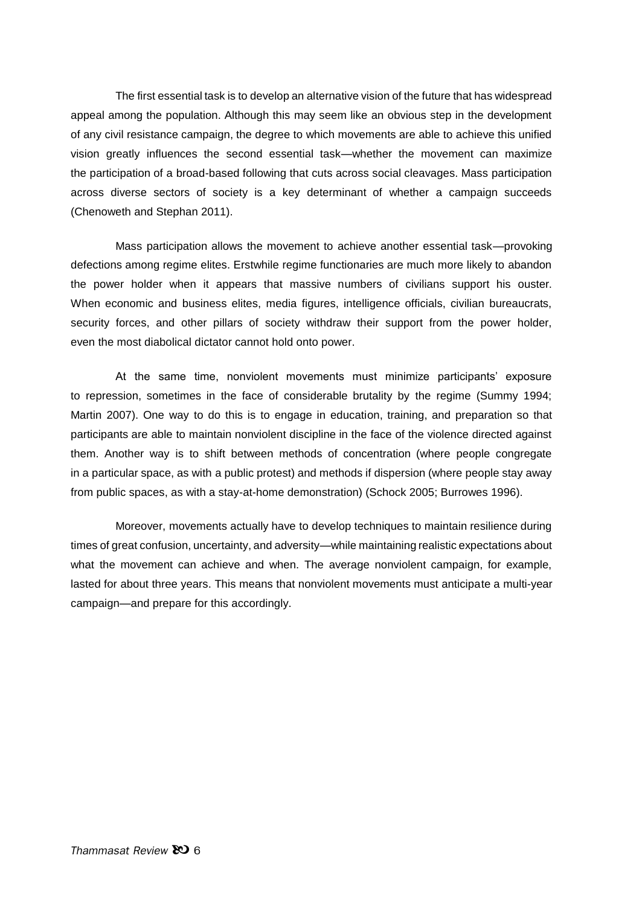The first essential task is to develop an alternative vision of the future that has widespread appeal among the population. Although this may seem like an obvious step in the development of any civil resistance campaign, the degree to which movements are able to achieve this unified vision greatly influences the second essential task—whether the movement can maximize the participation of a broad-based following that cuts across social cleavages. Mass participation across diverse sectors of society is a key determinant of whether a campaign succeeds (Chenoweth and Stephan 2011).

Mass participation allows the movement to achieve another essential task—provoking defections among regime elites. Erstwhile regime functionaries are much more likely to abandon the power holder when it appears that massive numbers of civilians support his ouster. When economic and business elites, media figures, intelligence officials, civilian bureaucrats, security forces, and other pillars of society withdraw their support from the power holder, even the most diabolical dictator cannot hold onto power.

At the same time, nonviolent movements must minimize participants' exposure to repression, sometimes in the face of considerable brutality by the regime (Summy 1994; Martin 2007). One way to do this is to engage in education, training, and preparation so that participants are able to maintain nonviolent discipline in the face of the violence directed against them. Another way is to shift between methods of concentration (where people congregate in a particular space, as with a public protest) and methods if dispersion (where people stay away from public spaces, as with a stay-at-home demonstration) (Schock 2005; Burrowes 1996).

Moreover, movements actually have to develop techniques to maintain resilience during times of great confusion, uncertainty, and adversity—while maintaining realistic expectations about what the movement can achieve and when. The average nonviolent campaign, for example, lasted for about three years. This means that nonviolent movements must anticipate a multi-year campaign—and prepare for this accordingly.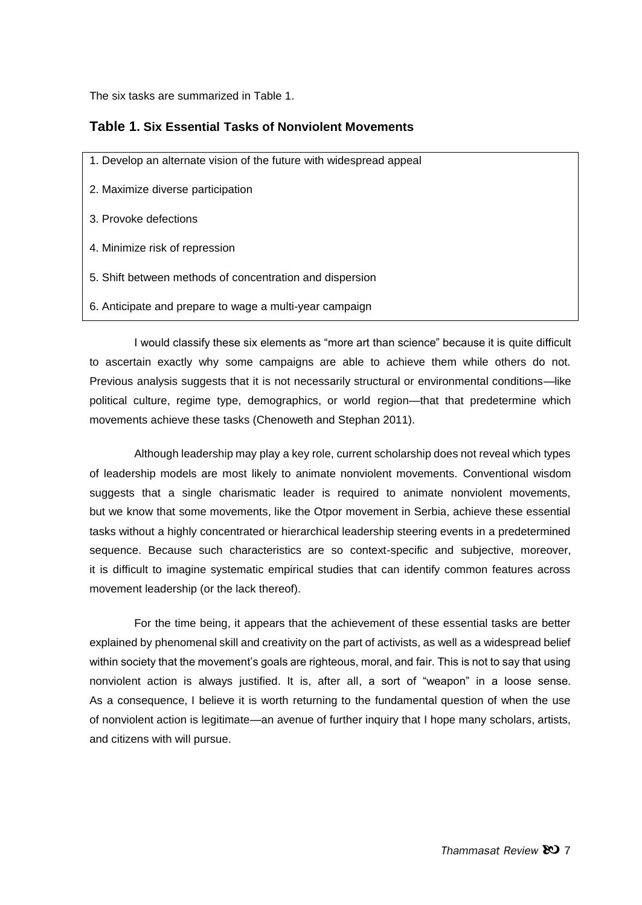The six tasks are summarized in Table 1.

# **Table 1. Six Essential Tasks of Nonviolent Movements**

- 1. Develop an alternate vision of the future with widespread appeal
- 2. Maximize diverse participation
- 3. Provoke defections
- 4. Minimize risk of repression
- 5. Shift between methods of concentration and dispersion
- 6. Anticipate and prepare to wage a multi-year campaign

I would classify these six elements as "more art than science" because it is quite difficult to ascertain exactly why some campaigns are able to achieve them while others do not. Previous analysis suggests that it is not necessarily structural or environmental conditions—like political culture, regime type, demographics, or world region—that that predetermine which movements achieve these tasks (Chenoweth and Stephan 2011).

Although leadership may play a key role, current scholarship does not reveal which types of leadership models are most likely to animate nonviolent movements. Conventional wisdom suggests that a single charismatic leader is required to animate nonviolent movements, but we know that some movements, like the Otpor movement in Serbia, achieve these essential tasks without a highly concentrated or hierarchical leadership steering events in a predetermined sequence. Because such characteristics are so context-specific and subjective, moreover, it is difficult to imagine systematic empirical studies that can identify common features across movement leadership (or the lack thereof).

For the time being, it appears that the achievement of these essential tasks are better explained by phenomenal skill and creativity on the part of activists, as well as a widespread belief within society that the movement's goals are righteous, moral, and fair. This is not to say that using nonviolent action is always justified. It is, after all, a sort of "weapon" in a loose sense. As a consequence, I believe it is worth returning to the fundamental question of when the use of nonviolent action is legitimate—an avenue of further inquiry that I hope many scholars, artists, and citizens with will pursue.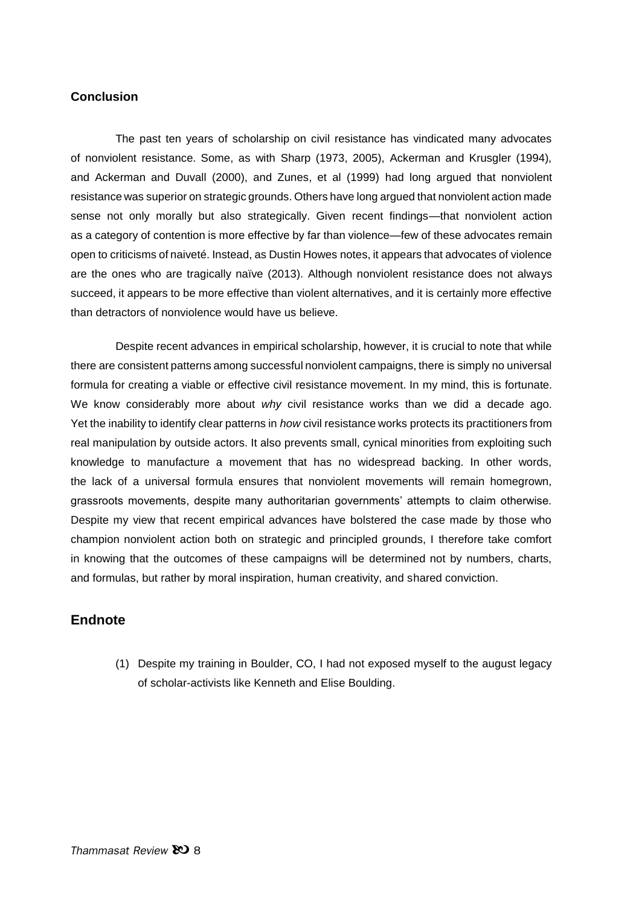## **Conclusion**

The past ten years of scholarship on civil resistance has vindicated many advocates of nonviolent resistance. Some, as with Sharp (1973, 2005), Ackerman and Krusgler (1994), and Ackerman and Duvall (2000), and Zunes, et al (1999) had long argued that nonviolent resistance was superior on strategic grounds. Others have long argued that nonviolent action made sense not only morally but also strategically. Given recent findings—that nonviolent action as a category of contention is more effective by far than violence—few of these advocates remain open to criticisms of naiveté. Instead, as Dustin Howes notes, it appears that advocates of violence are the ones who are tragically naïve (2013). Although nonviolent resistance does not always succeed, it appears to be more effective than violent alternatives, and it is certainly more effective than detractors of nonviolence would have us believe.

Despite recent advances in empirical scholarship, however, it is crucial to note that while there are consistent patterns among successful nonviolent campaigns, there is simply no universal formula for creating a viable or effective civil resistance movement. In my mind, this is fortunate. We know considerably more about *why* civil resistance works than we did a decade ago. Yet the inability to identify clear patterns in *how* civil resistance works protects its practitioners from real manipulation by outside actors. It also prevents small, cynical minorities from exploiting such knowledge to manufacture a movement that has no widespread backing. In other words, the lack of a universal formula ensures that nonviolent movements will remain homegrown, grassroots movements, despite many authoritarian governments' attempts to claim otherwise. Despite my view that recent empirical advances have bolstered the case made by those who champion nonviolent action both on strategic and principled grounds, I therefore take comfort in knowing that the outcomes of these campaigns will be determined not by numbers, charts, and formulas, but rather by moral inspiration, human creativity, and shared conviction.

### **Endnote**

(1) Despite my training in Boulder, CO, I had not exposed myself to the august legacy of scholar-activists like Kenneth and Elise Boulding.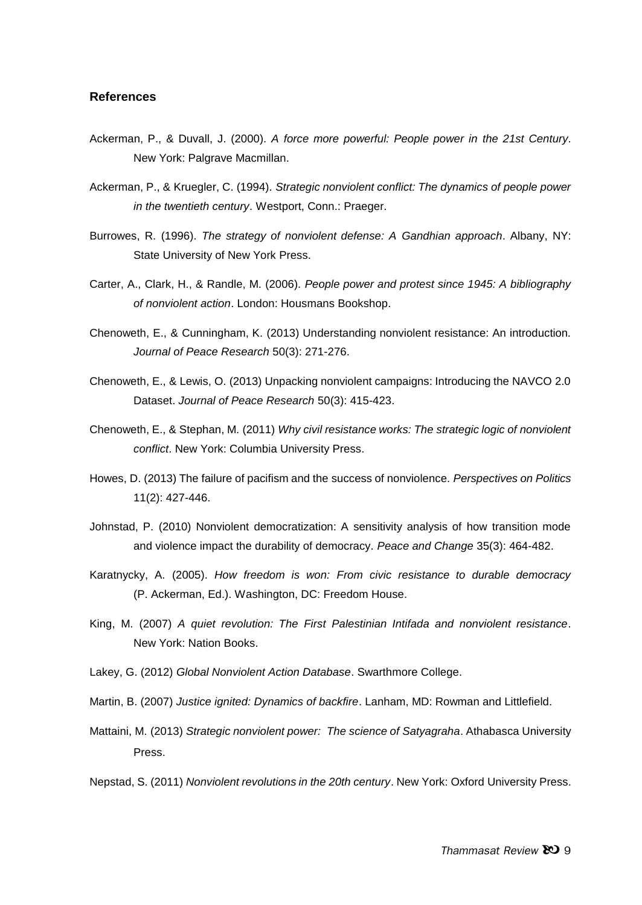### **References**

- Ackerman, P., & Duvall, J. (2000). *A force more powerful: People power in the 21st Century*. New York: Palgrave Macmillan.
- Ackerman, P., & Kruegler, C. (1994). *Strategic nonviolent conflict: The dynamics of people power in the twentieth century*. Westport, Conn.: Praeger.
- Burrowes, R. (1996). *The strategy of nonviolent defense: A Gandhian approach*. Albany, NY: State University of New York Press.
- Carter, A., Clark, H., & Randle, M. (2006). *People power and protest since 1945: A bibliography of nonviolent action*. London: Housmans Bookshop.
- Chenoweth, E., & Cunningham, K. (2013) Understanding nonviolent resistance: An introduction. *Journal of Peace Research* 50(3): 271-276.
- Chenoweth, E., & Lewis, O. (2013) Unpacking nonviolent campaigns: Introducing the NAVCO 2.0 Dataset. *Journal of Peace Research* 50(3): 415-423.
- Chenoweth, E., & Stephan, M. (2011) *Why civil resistance works: The strategic logic of nonviolent conflict*. New York: Columbia University Press.
- Howes, D. (2013) The failure of pacifism and the success of nonviolence. *Perspectives on Politics* 11(2): 427-446.
- Johnstad, P. (2010) Nonviolent democratization: A sensitivity analysis of how transition mode and violence impact the durability of democracy. *Peace and Change* 35(3): 464-482.
- Karatnycky, A. (2005). *How freedom is won: From civic resistance to durable democracy* (P. Ackerman, Ed.). Washington, DC: Freedom House.
- King, M. (2007) *A quiet revolution: The First Palestinian Intifada and nonviolent resistance*. New York: Nation Books.
- Lakey, G. (2012) *Global Nonviolent Action Database*. Swarthmore College.
- Martin, B. (2007) *Justice ignited: Dynamics of backfire*. Lanham, MD: Rowman and Littlefield.
- Mattaini, M. (2013) *Strategic nonviolent power: The science of Satyagraha*. Athabasca University Press.

Nepstad, S. (2011) *Nonviolent revolutions in the 20th century*. New York: Oxford University Press.